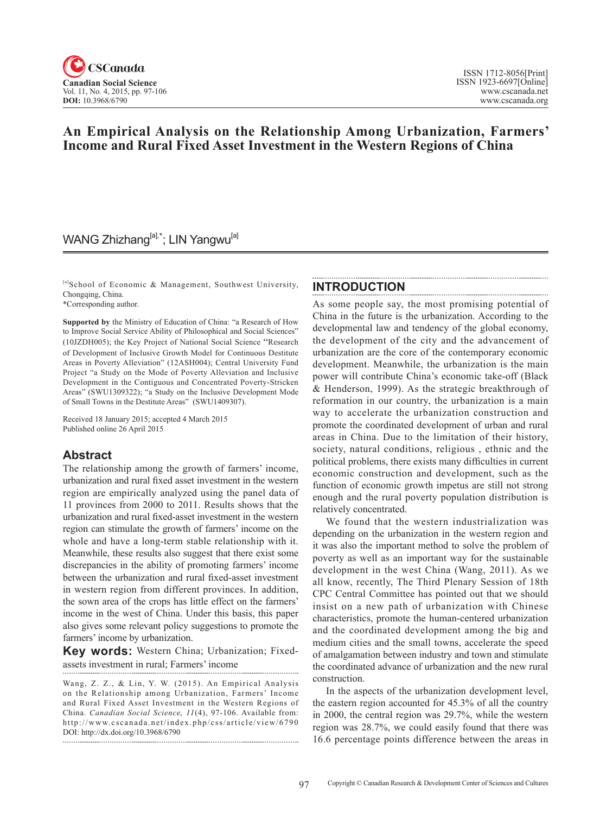

# **An Empirical Analysis on the Relationship Among Urbanization, Farmers' Income and Rural Fixed Asset Investment in the Western Regions of China**

# WANG Zhizhang<sup>[a],\*</sup>; LIN Yangwu<sup>[a]</sup>

[a]School of Economic & Management, Southwest University, Chongqing, China.

\*Corresponding author.

**Supported by** the Ministry of Education of China: "a Research of How to Improve Social Service Ability of Philosophical and Social Sciences" (10JZDH005); the Key Project of National Social Science "Research of Development of Inclusive Growth Model for Continuous Destitute Areas in Poverty Alleviation" (12ASH004); Central University Fund Project "a Study on the Mode of Poverty Alleviation and Inclusive Development in the Contiguous and Concentrated Poverty-Stricken Areas" (SWU1309322); "a Study on the Inclusive Development Mode of Small Towns in the Destitute Areas" (SWU1409307).

Received 18 January 2015; accepted 4 March 2015 Published online 26 April 2015

## **Abstract**

The relationship among the growth of farmers' income, urbanization and rural fixed asset investment in the western region are empirically analyzed using the panel data of 11 provinces from 2000 to 2011. Results shows that the urbanization and rural fixed-asset investment in the western region can stimulate the growth of farmers' income on the whole and have a long-term stable relationship with it. Meanwhile, these results also suggest that there exist some discrepancies in the ability of promoting farmers' income between the urbanization and rural fixed-asset investment in western region from different provinces. In addition, the sown area of the crops has little effect on the farmers' income in the west of China. Under this basis, this paper also gives some relevant policy suggestions to promote the farmers' income by urbanization.

**Key words:** Western China; Urbanization; Fixedassets investment in rural; Farmers' income

Wang, Z. Z., & Lin, Y. W. (2015). An Empirical Analysis on the Relationship among Urbanization, Farmers' Income and Rural Fixed Asset Investment in the Western Regions of China. *Canadian Social Science*, 11(4), 97-106. Available from: http://www.cscanada.net/index.php/css/article/view/6790 DOI: http://dx.doi.org/10.3968/6790

## **INTRODUCTION**

As some people say, the most promising potential of China in the future is the urbanization. According to the developmental law and tendency of the global economy, the development of the city and the advancement of urbanization are the core of the contemporary economic development. Meanwhile, the urbanization is the main power will contribute China's economic take-off (Black & Henderson, 1999). As the strategic breakthrough of reformation in our country, the urbanization is a main way to accelerate the urbanization construction and promote the coordinated development of urban and rural areas in China. Due to the limitation of their history, society, natural conditions, religious , ethnic and the political problems, there exists many difficulties in current economic construction and development, such as the function of economic growth impetus are still not strong enough and the rural poverty population distribution is relatively concentrated.

We found that the western industrialization was depending on the urbanization in the western region and it was also the important method to solve the problem of poverty as well as an important way for the sustainable development in the west China (Wang, 2011). As we all know, recently, The Third Plenary Session of 18th CPC Central Committee has pointed out that we should insist on a new path of urbanization with Chinese characteristics, promote the human-centered urbanization and the coordinated development among the big and medium cities and the small towns, accelerate the speed of amalgamation between industry and town and stimulate the coordinated advance of urbanization and the new rural construction.

In the aspects of the urbanization development level, the eastern region accounted for 45.3% of all the country in 2000, the central region was 29.7%, while the western region was 28.7%, we could easily found that there was 16.6 percentage points difference between the areas in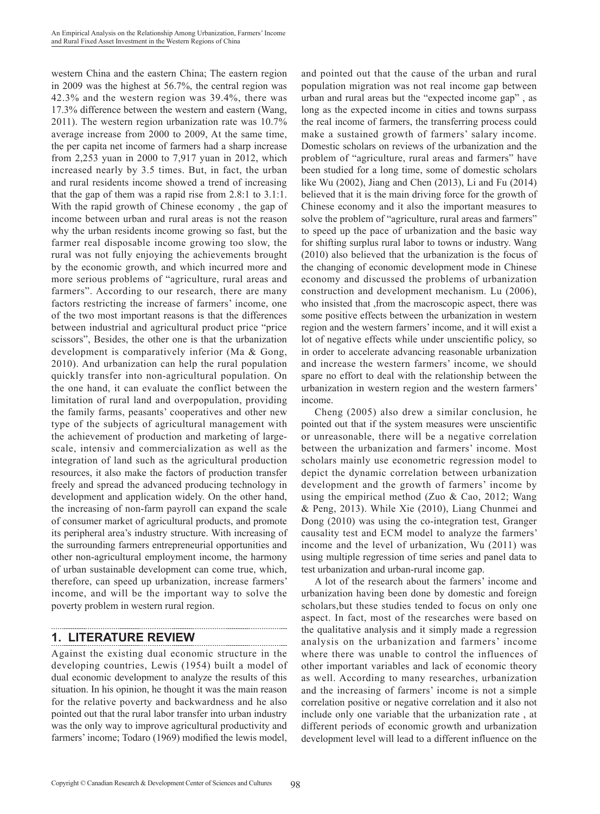western China and the eastern China; The eastern region in 2009 was the highest at 56.7%, the central region was 42.3% and the western region was 39.4%, there was 17.3% difference between the western and eastern (Wang, 2011). The western region urbanization rate was 10.7% average increase from 2000 to 2009, At the same time, the per capita net income of farmers had a sharp increase from 2,253 yuan in 2000 to 7,917 yuan in 2012, which increased nearly by 3.5 times. But, in fact, the urban and rural residents income showed a trend of increasing that the gap of them was a rapid rise from 2.8:1 to 3.1:1. With the rapid growth of Chinese economy , the gap of income between urban and rural areas is not the reason why the urban residents income growing so fast, but the farmer real disposable income growing too slow, the rural was not fully enjoying the achievements brought by the economic growth, and which incurred more and more serious problems of "agriculture, rural areas and farmers". According to our research, there are many factors restricting the increase of farmers' income, one of the two most important reasons is that the differences between industrial and agricultural product price "price scissors", Besides, the other one is that the urbanization development is comparatively inferior (Ma & Gong, 2010). And urbanization can help the rural population quickly transfer into non-agricultural population. On the one hand, it can evaluate the conflict between the limitation of rural land and overpopulation, providing the family farms, peasants' cooperatives and other new type of the subjects of agricultural management with the achievement of production and marketing of largescale, intensiv and commercialization as well as the integration of land such as the agricultural production resources, it also make the factors of production transfer freely and spread the advanced producing technology in development and application widely. On the other hand, the increasing of non-farm payroll can expand the scale of consumer market of agricultural products, and promote its peripheral area's industry structure. With increasing of the surrounding farmers entrepreneurial opportunities and other non-agricultural employment income, the harmony of urban sustainable development can come true, which, therefore, can speed up urbanization, increase farmers' income, and will be the important way to solve the poverty problem in western rural region.

## **1. LITERATURE REVIEW**

Against the existing dual economic structure in the developing countries, Lewis (1954) built a model of dual economic development to analyze the results of this situation. In his opinion, he thought it was the main reason for the relative poverty and backwardness and he also pointed out that the rural labor transfer into urban industry was the only way to improve agricultural productivity and farmers' income; Todaro (1969) modified the lewis model, and pointed out that the cause of the urban and rural population migration was not real income gap between urban and rural areas but the "expected income gap" , as long as the expected income in cities and towns surpass the real income of farmers, the transferring process could make a sustained growth of farmers' salary income. Domestic scholars on reviews of the urbanization and the problem of "agriculture, rural areas and farmers" have been studied for a long time, some of domestic scholars like Wu (2002), Jiang and Chen (2013), Li and Fu (2014) believed that it is the main driving force for the growth of Chinese economy and it also the important measures to solve the problem of "agriculture, rural areas and farmers" to speed up the pace of urbanization and the basic way for shifting surplus rural labor to towns or industry. Wang (2010) also believed that the urbanization is the focus of the changing of economic development mode in Chinese economy and discussed the problems of urbanization construction and development mechanism. Lu (2006), who insisted that ,from the macroscopic aspect, there was some positive effects between the urbanization in western region and the western farmers' income, and it will exist a lot of negative effects while under unscientific policy, so in order to accelerate advancing reasonable urbanization and increase the western farmers' income, we should spare no effort to deal with the relationship between the urbanization in western region and the western farmers' income.

Cheng (2005) also drew a similar conclusion, he pointed out that if the system measures were unscientific or unreasonable, there will be a negative correlation between the urbanization and farmers' income. Most scholars mainly use econometric regression model to depict the dynamic correlation between urbanization development and the growth of farmers' income by using the empirical method (Zuo & Cao, 2012; Wang & Peng, 2013). While Xie (2010), Liang Chunmei and Dong (2010) was using the co-integration test, Granger causality test and ECM model to analyze the farmers' income and the level of urbanization, Wu (2011) was using multiple regression of time series and panel data to test urbanization and urban-rural income gap.

A lot of the research about the farmers' income and urbanization having been done by domestic and foreign scholars,but these studies tended to focus on only one aspect. In fact, most of the researches were based on the qualitative analysis and it simply made a regression analysis on the urbanization and farmers' income where there was unable to control the influences of other important variables and lack of economic theory as well. According to many researches, urbanization and the increasing of farmers' income is not a simple correlation positive or negative correlation and it also not include only one variable that the urbanization rate , at different periods of economic growth and urbanization development level will lead to a different influence on the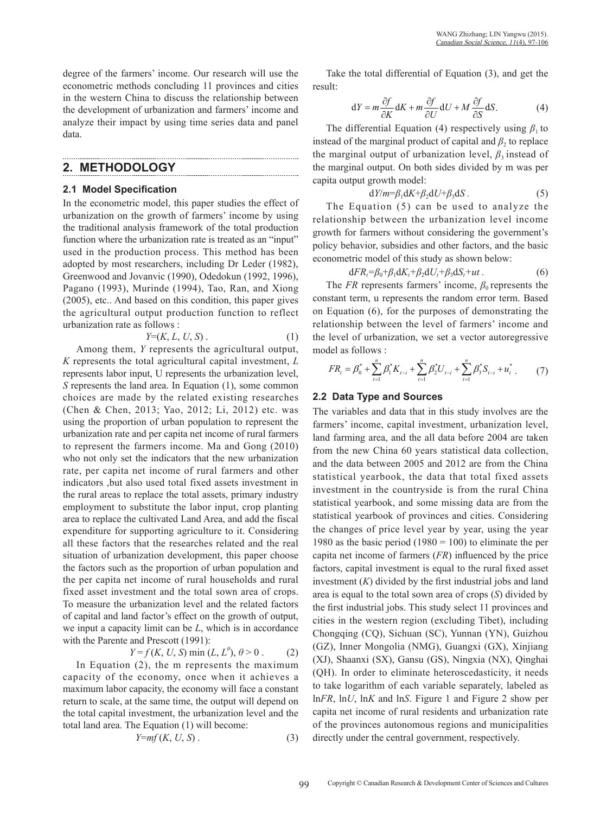degree of the farmers' income. Our research will use the econometric methods concluding 11 provinces and cities in the western China to discuss the relationship between the development of urbanization and farmers' income and analyze their impact by using time series data and panel data.

## **2. METHODOLOGY**

#### **2.1 Model Specification**

In the econometric model, this paper studies the effect of urbanization on the growth of farmers' income by using the traditional analysis framework of the total production function where the urbanization rate is treated as an "input" used in the production process. This method has been adopted by most researchers, including Dr Leder (1982), Greenwood and Jovanvic (1990), Odedokun (1992, 1996), Pagano (1993), Murinde (1994), Tao, Ran, and Xiong (2005), etc.. And based on this condition, this paper gives the agricultural output production function to reflect urbanization rate as follows :

$$
Y=(K, L, U, S). \tag{1}
$$

Among them, *Y* represents the agricultural output, *K* represents the total agricultural capital investment, *L*  represents labor input, U represents the urbanization level, *S* represents the land area. In Equation (1), some common choices are made by the related existing researches (Chen & Chen, 2013; Yao, 2012; Li, 2012) etc. was using the proportion of urban population to represent the urbanization rate and per capita net income of rural farmers to represent the farmers income. Ma and Gong (2010) who not only set the indicators that the new urbanization rate, per capita net income of rural farmers and other indicators ,but also used total fixed assets investment in the rural areas to replace the total assets, primary industry employment to substitute the labor input, crop planting area to replace the cultivated Land Area, and add the fiscal expenditure for supporting agriculture to it. Considering all these factors that the researches related and the real situation of urbanization development, this paper choose the factors such as the proportion of urban population and the per capita net income of rural households and rural fixed asset investment and the total sown area of crops. To measure the urbanization level and the related factors of capital and land factor's effect on the growth of output, we input a capacity limit can be *L*, which is in accordance with the Parente and Prescott (1991):

 $Y = f(K, U, S) \min (L, L^{\theta}), \theta > 0$  . (2)

In Equation (2), the m represents the maximum capacity of the economy, once when it achieves a maximum labor capacity, the economy will face a constant return to scale, at the same time, the output will depend on the total capital investment, the urbanization level and the total land area. The Equation (1) will become:

$$
Y=mf(K, U, S). \tag{3}
$$

Take the total differential of Equation (3), and get the result:

$$
dY = m \frac{\partial f}{\partial K} dK + m \frac{\partial f}{\partial U} dU + M \frac{\partial f}{\partial S} dS.
$$
 (4)

The differential Equation (4) respectively using  $\beta_1$  to *the marginal output of urbanization level,*  $\beta_3$  *instead of* capita output growth model: instead of the marginal product of capital and  $\beta_2$  to replace the marginal output. On both sides divided by m was per

$$
dY/m = \beta_1 dK + \beta_2 dU + \beta_3 dS. \tag{5}
$$

The Equation  $(5)$  can be used to analyze the relationship between the urbanization level income growth for farmers without considering the government's policy behavior, subsidies and other factors, and the basic econometric model of this study as shown below:

$$
\mathrm{d}FR_t = \beta_0 + \beta_1 \mathrm{d}K_t + \beta_2 \mathrm{d}U_t + \beta_3 \mathrm{d}S_t + ut \,. \tag{6}
$$

The *FR* represents farmers' income,  $\beta_0$  represents the standard ferm is presents the random error term. Based constant term, u represents the random error term. Based on Equation (6), for the purposes of demonstrating the relationship between the level of farmers' income and *the level of urbanization, we set a vector autoregressive* model as follows :

$$
FR_{t} = \beta_{0}^{*} + \sum_{t=1}^{n} \beta_{1}^{*} K_{t-i} + \sum_{t=1}^{n} \beta_{2}^{*} U_{t-i} + \sum_{t=1}^{n} \beta_{3}^{*} S_{t-i} + u_{t}^{*} \tag{7}
$$

#### **2.2 Data Type and Sources**

The variables and data that in this study involves are the farmers' income, capital investment, urbanization level, land farming area, and the all data before 2004 are taken from the new China 60 years statistical data collection, and the data between 2005 and 2012 are from the China statistical yearbook, the data that total fixed assets investment in the countryside is from the rural China statistical yearbook, and some missing data are from the statistical yearbook of provinces and cities. Considering the changes of price level year by year, using the year 1980 as the basic period (1980 = 100) to eliminate the per capita net income of farmers (*FR*) influenced by the price factors, capital investment is equal to the rural fixed asset investment (*K*) divided by the first industrial jobs and land area is equal to the total sown area of crops (*S*) divided by the first industrial jobs. This study select 11 provinces and cities in the western region (excluding Tibet), including Chongqing (CQ), Sichuan (SC), Yunnan (YN), Guizhou (GZ), Inner Mongolia (NMG), Guangxi (GX), Xinjiang (XJ), Shaanxi (SX), Gansu (GS), Ningxia (NX), Qinghai (QH). In order to eliminate heteroscedasticity, it needs to take logarithm of each variable separately, labeled as ln*FR*, ln*U*, ln*K* and ln*S*. Figure 1 and Figure 2 show per capita net income of rural residents and urbanization rate of the provinces autonomous regions and municipalities directly under the central government, respectively.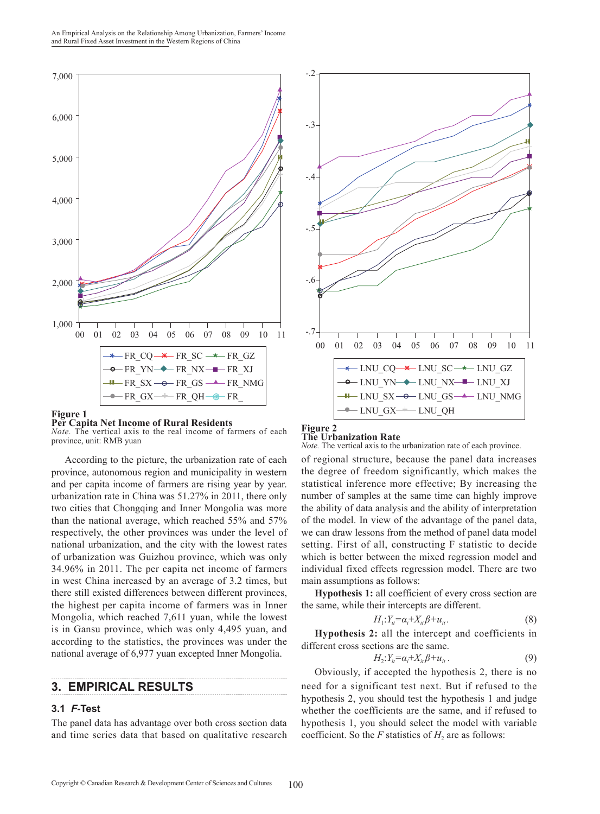An Empirical Analysis on the Relationship Among Urbanization, Farmers' Income and Rural Fixed Asset Investment in the Western Regions of China



#### **Figure 1**

**Per Capita Net Income of Rural Residents** *Note.* The vertical axis to the real income of farmers of each province, unit: RMB yuan

According to the picture, the urbanization rate of each province, autonomous region and municipality in western and per capita income of farmers are rising year by year. urbanization rate in China was 51.27% in 2011, there only two cities that Chongqing and Inner Mongolia was more than the national average, which reached 55% and 57% respectively, the other provinces was under the level of national urbanization, and the city with the lowest rates of urbanization was Guizhou province, which was only 34.96% in 2011. The per capita net income of farmers in west China increased by an average of 3.2 times, but there still existed differences between different provinces, the highest per capita income of farmers was in Inner Mongolia, which reached 7,611 yuan, while the lowest is in Gansu province, which was only 4,495 yuan, and according to the statistics, the provinces was under the national average of 6,977 yuan excepted Inner Mongolia.

## **3. EMPIRICAL RESULTS**

#### **3.1** *F-***Test**

The panel data has advantage over both cross section data and time series data that based on qualitative research



### **The Urbanization Rate**

*Note.* The vertical axis to the urbanization rate of each province.

of regional structure, because the panel data increases the degree of freedom significantly, which makes the statistical inference more effective; By increasing the number of samples at the same time can highly improve the ability of data analysis and the ability of interpretation of the model. In view of the advantage of the panel data, we can draw lessons from the method of panel data model setting. First of all, constructing F statistic to decide which is better between the mixed regression model and individual fixed effects regression model. There are two main assumptions as follows:

**Hypothesis 1:** all coefficient of every cross section are the same, while their intercepts are different.

$$
H_1: Y_{it} = \alpha_i + X_{it} \beta + u_{it}. \tag{8}
$$

**Hypothesis 2:** all the intercept and coefficients in different cross sections are the same.

$$
H_2: Y_{it} = \alpha_i + X_{it} \beta + u_{it} \,. \tag{9}
$$

Obviously, if accepted the hypothesis 2, there is no need for a significant test next. But if refused to the hypothesis 2, you should test the hypothesis 1 and judge whether the coefficients are the same, and if refused to hypothesis 1, you should select the model with variable coefficient. So the *F* statistics of  $H_2$  are as follows: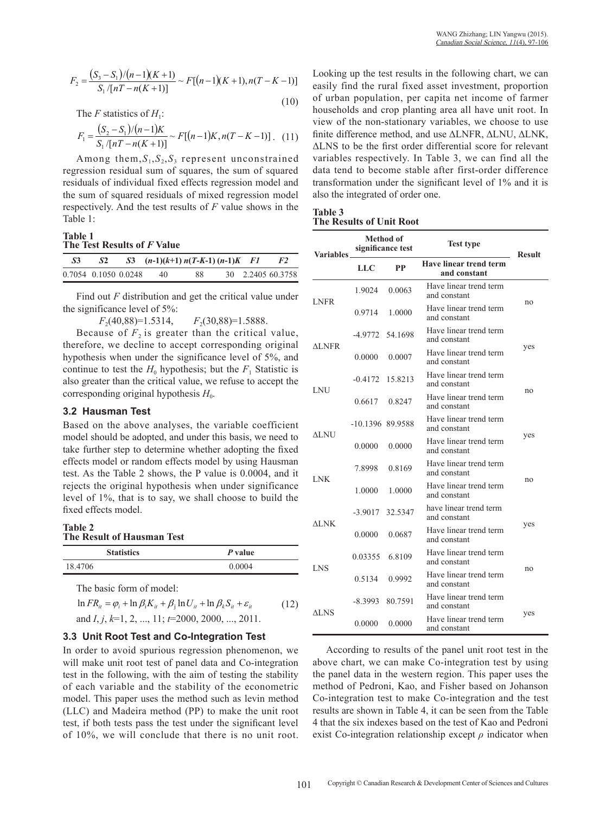$$
F_2 = \frac{(S_3 - S_1)/(n-1)(K+1)}{S_1/[nT - n(K+1)]} \sim F[(n-1)(K+1), n(T-K-1)]
$$
\n(10)

The F statistics of  $H_1$ : (10)

$$
F_1 = \frac{(S_2 - S_1)/(n-1)K}{S_1/[nT - n(K+1)]} \sim F[(n-1)K, n(T - K - 1)]. \quad (11)
$$

Among them, $S_1, S_2, S_3$  represent unconstrained regression residual sum of squares, the sum of squared residuals of individual fixed effects regression model and the sum of squared residuals of mixed regression model respectively. And the test results of *F* value shows in the Table 1:

#### **Table 1 The Test Results of** *F* **Value**

| .S3                  | S2 | S3 $(n-1)(k+1) n(T-K-1) (n-1)K$ F1 |    |  | F2                |
|----------------------|----|------------------------------------|----|--|-------------------|
| 0.7054 0.1050 0.0248 |    | 40                                 | 88 |  | 30 2.2405 60.3758 |

Find out *F* distribution and get the critical value under the significance level of 5%:

*F*<sub>2</sub>(40,88)=1.5314, *F*<sub>2</sub>(30,88)=1.5888.

Because of  $F<sub>2</sub>$  is greater than the critical value, therefore, we decline to accept corresponding original hypothesis when under the significance level of 5%, and continue to test the  $H_0$  hypothesis; but the  $F_1$  Statistic is also greater than the critical value, we refuse to accept the corresponding original hypothesis  $H_0$ .

#### **3.2 Hausman Test**

Based on the above analyses, the variable coefficient model should be adopted, and under this basis, we need to take further step to determine whether adopting the fixed effects model or random effects model by using Hausman test. As the Table 2 shows, the P value is 0.0004, and it rejects the original hypothesis when under significance level of 1%, that is to say, we shall choose to build the fixed effects model.

| <b>Table 2</b> |                            |  |
|----------------|----------------------------|--|
|                | The Result of Hausman Test |  |

| <b>Statistics</b> | P value |
|-------------------|---------|
| 18.4706           | 0.0004  |

The basic form of model:

$$
\ln FR_{it} = \varphi_i + \ln \beta_i K_{it} + \beta_j \ln U_{it} + \ln \beta_k S_{it} + \varepsilon_{it}
$$
\nand  $I, j, k=1, 2, ..., 11$ ;  $t=2000, 2000, ..., 2011$ . (12)

#### **3.3 Unit Root Test and Co-Integration Test**

In order to avoid spurious regression phenomenon, we will make unit root test of panel data and Co-integration test in the following, with the aim of testing the stability of each variable and the stability of the econometric model. This paper uses the method such as levin method (LLC) and Madeira method (PP) to make the unit root test, if both tests pass the test under the significant level of 10%, we will conclude that there is no unit root.

Looking up the test results in the following chart, we can easily find the rural fixed asset investment, proportion of urban population, per capita net income of farmer households and crop planting area all have unit root. In view of the non-stationary variables, we choose to use finite difference method, and use ΔLNFR, ΔLNU, ΔLNK, ΔLNS to be the first order differential score for relevant variables respectively. In Table 3, we can find all the data tend to become stable after first-order difference transformation under the significant level of 1% and it is also the integrated of order one.

| <b>Table 3</b> |                          |  |  |
|----------------|--------------------------|--|--|
|                | The Results of Unit Root |  |  |

| <b>Variables</b> | Method of<br>significance test |         | <b>Test type</b>                       | <b>Result</b> |  |
|------------------|--------------------------------|---------|----------------------------------------|---------------|--|
|                  | LLC                            | PP      | Have linear trend term<br>and constant |               |  |
| <b>LNFR</b>      | 1.9024                         | 0.0063  | Have linear trend term<br>and constant |               |  |
|                  | 0.9714                         | 1.0000  | Have linear trend term<br>and constant | no            |  |
| ALNFR            | -4.9772                        | 54.1698 | Have linear trend term<br>and constant |               |  |
|                  | 0.0000                         | 0.0007  | Have linear trend term<br>and constant | yes           |  |
| LNU              | $-0.4172$                      | 15.8213 | Have linear trend term<br>and constant |               |  |
|                  | 0.6617                         | 0.8247  | Have linear trend term<br>and constant | no            |  |
|                  | -10.1396 89.9588               |         | Have linear trend term<br>and constant |               |  |
| ALNU             | 0.0000                         | 0.0000  | Have linear trend term<br>and constant | yes           |  |
|                  | 7.8998                         | 0.8169  | Have linear trend term<br>and constant |               |  |
| <b>LNK</b>       | 1.0000                         | 1.0000  | Have linear trend term<br>and constant | no            |  |
|                  | $-3.9017$                      | 32.5347 | have linear trend term<br>and constant |               |  |
| $\triangle$ LNK  | 0.0000                         | 0.0687  | Have linear trend term<br>and constant | yes           |  |
| LNS              | 0.03355                        | 6.8109  | Have linear trend term<br>and constant |               |  |
|                  | 0.5134                         | 0.9992  | Have linear trend term<br>and constant | no            |  |
|                  | -8.3993                        | 80.7591 | Have linear trend term<br>and constant |               |  |
| ALNS             | 0.0000                         | 0.0000  | Have linear trend term<br>and constant | yes           |  |

According to results of the panel unit root test in the above chart, we can make Co-integration test by using the panel data in the western region. This paper uses the method of Pedroni, Kao, and Fisher based on Johanson Co-integration test to make Co-integration and the test results are shown in Table 4, it can be seen from the Table 4 that the six indexes based on the test of Kao and Pedroni exist Co-integration relationship except *ρ* indicator when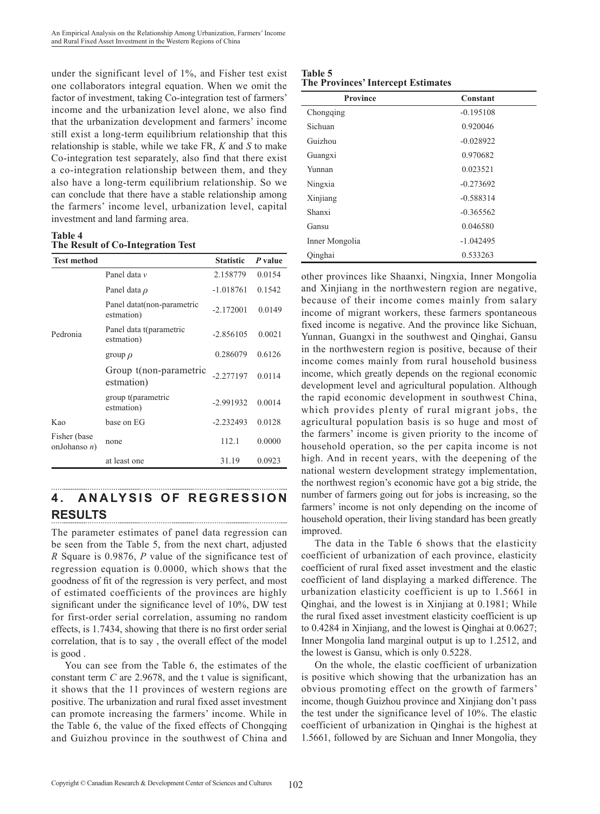under the significant level of 1%, and Fisher test exist one collaborators integral equation. When we omit the factor of investment, taking Co-integration test of farmers' income and the urbanization level alone, we also find that the urbanization development and farmers' income still exist a long-term equilibrium relationship that this relationship is stable, while we take FR, *K* and *S* to make Co-integration test separately, also find that there exist a co-integration relationship between them, and they also have a long-term equilibrium relationship. So we can conclude that there have a stable relationship among the farmers' income level, urbanization level, capital investment and land farming area.

#### **Table 4 The Result of Co-Integration Test**

| <b>Test method</b>              |                                           | <b>Statistic</b> | P value |
|---------------------------------|-------------------------------------------|------------------|---------|
|                                 | Panel data v                              | 2.158779         | 0.0154  |
|                                 | Panel data $\rho$                         | $-1.018761$      | 0.1542  |
|                                 | Panel datat (non-parametric<br>estmation) | $-2.172001$      | 0.0149  |
| Pedronia                        | Panel data t(parametric<br>estmation)     | $-2.856105$      | 0.0021  |
|                                 | group $\rho$                              | 0.286079         | 0.6126  |
|                                 | Group t(non-parametric<br>estmation)      | $-2.277197$      | 0.0114  |
|                                 | group t(parametric<br>estmation)          | $-2.991932$      | 0.0014  |
| Kao                             | base on EG                                | $-2.232493$      | 0.0128  |
| Fisher (base<br>onJohanso $n$ ) | none                                      | 112.1            | 0.0000  |
|                                 | at least one                              | 31.19            | 0.0923  |

#### **4. ANALYSIS OF REGRESSION RESULTS**

The parameter estimates of panel data regression can be seen from the Table 5, from the next chart, adjusted *R* Square is 0.9876, *P* value of the significance test of regression equation is 0.0000, which shows that the goodness of fit of the regression is very perfect, and most of estimated coefficients of the provinces are highly significant under the significance level of 10%, DW test for first-order serial correlation, assuming no random effects, is 1.7434, showing that there is no first order serial correlation, that is to say , the overall effect of the model is good .

You can see from the Table 6, the estimates of the constant term *C* are 2.9678, and the t value is significant, it shows that the 11 provinces of western regions are positive. The urbanization and rural fixed asset investment can promote increasing the farmers' income. While in the Table 6, the value of the fixed effects of Chongqing and Guizhou province in the southwest of China and

#### **Table 5 The Provinces' Intercept Estimates**

| <b>Province</b> | Constant    |
|-----------------|-------------|
| Chongqing       | $-0.195108$ |
| Sichuan         | 0.920046    |
| Guizhou         | $-0.028922$ |
| Guangxi         | 0.970682    |
| Yunnan          | 0.023521    |
| Ningxia         | $-0.273692$ |
| Xinjiang        | $-0.588314$ |
| Shanxi          | $-0.365562$ |
| Gansu           | 0.046580    |
| Inner Mongolia  | $-1.042495$ |
| Qinghai         | 0.533263    |

other provinces like Shaanxi, Ningxia, Inner Mongolia and Xinjiang in the northwestern region are negative, because of their income comes mainly from salary income of migrant workers, these farmers spontaneous fixed income is negative. And the province like Sichuan, Yunnan, Guangxi in the southwest and Qinghai, Gansu in the northwestern region is positive, because of their income comes mainly from rural household business income, which greatly depends on the regional economic development level and agricultural population. Although the rapid economic development in southwest China, which provides plenty of rural migrant jobs, the agricultural population basis is so huge and most of the farmers' income is given priority to the income of household operation, so the per capita income is not high. And in recent years, with the deepening of the national western development strategy implementation, the northwest region's economic have got a big stride, the number of farmers going out for jobs is increasing, so the farmers' income is not only depending on the income of household operation, their living standard has been greatly improved.

The data in the Table 6 shows that the elasticity coefficient of urbanization of each province, elasticity coefficient of rural fixed asset investment and the elastic coefficient of land displaying a marked difference. The urbanization elasticity coefficient is up to 1.5661 in Qinghai, and the lowest is in Xinjiang at 0.1981; While the rural fixed asset investment elasticity coefficient is up to 0.4284 in Xinjiang, and the lowest is Qinghai at 0.0627; Inner Mongolia land marginal output is up to 1.2512, and the lowest is Gansu, which is only 0.5228.

On the whole, the elastic coefficient of urbanization is positive which showing that the urbanization has an obvious promoting effect on the growth of farmers' income, though Guizhou province and Xinjiang don't pass the test under the significance level of 10%. The elastic coefficient of urbanization in Qinghai is the highest at 1.5661, followed by are Sichuan and Inner Mongolia, they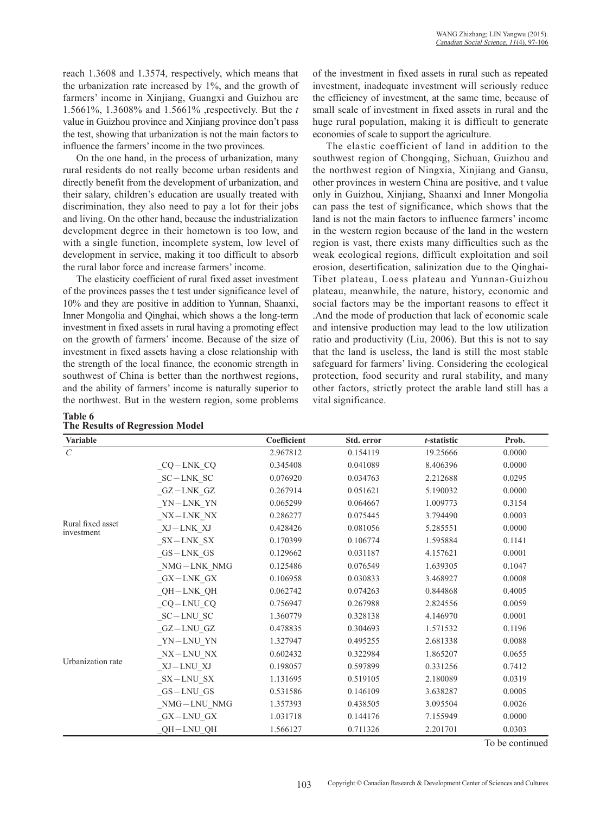reach 1.3608 and 1.3574, respectively, which means that the urbanization rate increased by 1%, and the growth of farmers' income in Xinjiang, Guangxi and Guizhou are 1.5661%, 1.3608% and 1.5661% ,respectively. But the *t* value in Guizhou province and Xinjiang province don't pass the test, showing that urbanization is not the main factors to influence the farmers' income in the two provinces.

On the one hand, in the process of urbanization, many rural residents do not really become urban residents and directly benefit from the development of urbanization, and their salary, children's education are usually treated with discrimination, they also need to pay a lot for their jobs and living. On the other hand, because the industrialization development degree in their hometown is too low, and with a single function, incomplete system, low level of development in service, making it too difficult to absorb the rural labor force and increase farmers' income.

The elasticity coefficient of rural fixed asset investment of the provinces passes the t test under significance level of 10% and they are positive in addition to Yunnan, Shaanxi, Inner Mongolia and Qinghai, which shows a the long-term investment in fixed assets in rural having a promoting effect on the growth of farmers' income. Because of the size of investment in fixed assets having a close relationship with the strength of the local finance, the economic strength in southwest of China is better than the northwest regions, and the ability of farmers' income is naturally superior to the northwest. But in the western region, some problems

#### **Table 6 The Results of Regression Model**

of the investment in fixed assets in rural such as repeated investment, inadequate investment will seriously reduce the efficiency of investment, at the same time, because of small scale of investment in fixed assets in rural and the huge rural population, making it is difficult to generate economies of scale to support the agriculture.

The elastic coefficient of land in addition to the southwest region of Chongqing, Sichuan, Guizhou and the northwest region of Ningxia, Xinjiang and Gansu, other provinces in western China are positive, and t value only in Guizhou, Xinjiang, Shaanxi and Inner Mongolia can pass the test of significance, which shows that the land is not the main factors to influence farmers' income in the western region because of the land in the western region is vast, there exists many difficulties such as the weak ecological regions, difficult exploitation and soil erosion, desertification, salinization due to the Qinghai-Tibet plateau, Loess plateau and Yunnan-Guizhou plateau, meanwhile, the nature, history, economic and social factors may be the important reasons to effect it .And the mode of production that lack of economic scale and intensive production may lead to the low utilization ratio and productivity (Liu, 2006). But this is not to say that the land is useless, the land is still the most stable safeguard for farmers' living. Considering the ecological protection, food security and rural stability, and many other factors, strictly protect the arable land still has a vital significance.

| <b>Variable</b>                 |                                                                     | Coefficient | Std. error | $t$ -statistic | Prob.  |
|---------------------------------|---------------------------------------------------------------------|-------------|------------|----------------|--------|
| $\mathcal{C}$                   |                                                                     | 2.967812    | 0.154119   | 19.25666       | 0.0000 |
|                                 | $CQ$ – $LNK_CQ$                                                     | 0.345408    | 0.041089   | 8.406396       | 0.0000 |
|                                 | $SC-LNK$ SC                                                         | 0.076920    | 0.034763   | 2.212688       | 0.0295 |
|                                 | GZ-LNK GZ                                                           | 0.267914    | 0.051621   | 5.190032       | 0.0000 |
|                                 | YN-LNK YN                                                           | 0.065299    | 0.064667   | 1.009773       | 0.3154 |
|                                 | $\textup{N}\textup{X}-\textup{LN}\textup{K}$ $\textup{N}\textup{X}$ | 0.286277    | 0.075445   | 3.794490       | 0.0003 |
| Rural fixed asset<br>investment | XJ—LNK XJ                                                           | 0.428426    | 0.081056   | 5.285551       | 0.0000 |
|                                 | $SX-LNK$ $SX$                                                       | 0.170399    | 0.106774   | 1.595884       | 0.1141 |
|                                 | $GS-LNK$ GS                                                         | 0.129662    | 0.031187   | 4.157621       | 0.0001 |
|                                 | NMG-LNK NMG                                                         | 0.125486    | 0.076549   | 1.639305       | 0.1047 |
|                                 | $_GX-LNK_GX$                                                        | 0.106958    | 0.030833   | 3.468927       | 0.0008 |
|                                 | QH-LNK QH                                                           | 0.062742    | 0.074263   | 0.844868       | 0.4005 |
|                                 | $CQ-LNU$ $CQ$                                                       | 0.756947    | 0.267988   | 2.824556       | 0.0059 |
|                                 | $SC-LNU$ $SC$                                                       | 1.360779    | 0.328138   | 4.146970       | 0.0001 |
|                                 | GZ-LNU GZ                                                           | 0.478835    | 0.304693   | 1.571532       | 0.1196 |
|                                 | YN-LNU YN                                                           | 1.327947    | 0.495255   | 2.681338       | 0.0088 |
|                                 | NX-LNU NX                                                           | 0.602432    | 0.322984   | 1.865207       | 0.0655 |
| Urbanization rate               | XJ—LNU XJ                                                           | 0.198057    | 0.597899   | 0.331256       | 0.7412 |
|                                 | $SX-LNU$ $SX$                                                       | 1.131695    | 0.519105   | 2.180089       | 0.0319 |
|                                 | $GS-LNU$ $GS$                                                       | 0.531586    | 0.146109   | 3.638287       | 0.0005 |
|                                 | NMG-LNU NMG                                                         | 1.357393    | 0.438505   | 3.095504       | 0.0026 |
|                                 | $GX-LNU$ $GX$                                                       | 1.031718    | 0.144176   | 7.155949       | 0.0000 |
|                                 | QH-LNU_QH                                                           | 1.566127    | 0.711326   | 2.201701       | 0.0303 |

To be continued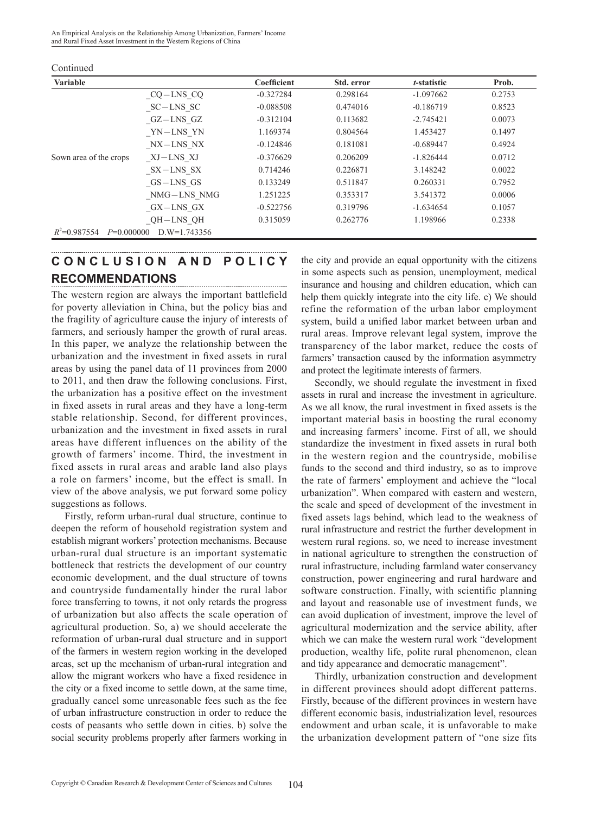An Empirical Analysis on the Relationship Among Urbanization, Farmers' Income and Rural Fixed Asset Investment in the Western Regions of China

| <b>Variable</b>                |                | Coefficient | Std. error | t-statistic | Prob.  |
|--------------------------------|----------------|-------------|------------|-------------|--------|
|                                | $CQ-LNS$ $CQ$  | $-0.327284$ | 0.298164   | $-1.097662$ | 0.2753 |
|                                | $SC-LNS$ $SC$  | $-0.088508$ | 0.474016   | $-0.186719$ | 0.8523 |
|                                | GZ-LNS GZ      | $-0.312104$ | 0.113682   | $-2.745421$ | 0.0073 |
|                                | YN—LNS YN      | 1.169374    | 0.804564   | 1.453427    | 0.1497 |
|                                | NX—LNS NX      | $-0.124846$ | 0.181081   | $-0.689447$ | 0.4924 |
| Sown area of the crops         | XJ—LNS XJ      | $-0.376629$ | 0.206209   | $-1.826444$ | 0.0712 |
|                                | SX-LNS SX      | 0.714246    | 0.226871   | 3.148242    | 0.0022 |
|                                | $GS-LNS$ $GS$  | 0.133249    | 0.511847   | 0.260331    | 0.7952 |
|                                | NMG-LNS NMG    | 1.251225    | 0.353317   | 3.541372    | 0.0006 |
|                                | GX-LNS GX      | $-0.522756$ | 0.319796   | $-1.634654$ | 0.1057 |
|                                | QH-LNS QH      | 0.315059    | 0.262776   | 1.198966    | 0.2338 |
| $R^2=0.987554$<br>$P=0.000000$ | $D.W=1.743356$ |             |            |             |        |

Continued

# **C O N C L U S I O N A N D P O L I C Y RECOMMENDATIONS**

The western region are always the important battlefield for poverty alleviation in China, but the policy bias and the fragility of agriculture cause the injury of interests of farmers, and seriously hamper the growth of rural areas. In this paper, we analyze the relationship between the urbanization and the investment in fixed assets in rural areas by using the panel data of 11 provinces from 2000 to 2011, and then draw the following conclusions. First, the urbanization has a positive effect on the investment in fixed assets in rural areas and they have a long-term stable relationship. Second, for different provinces, urbanization and the investment in fixed assets in rural areas have different influences on the ability of the growth of farmers' income. Third, the investment in fixed assets in rural areas and arable land also plays a role on farmers' income, but the effect is small. In view of the above analysis, we put forward some policy suggestions as follows.

Firstly, reform urban-rural dual structure, continue to deepen the reform of household registration system and establish migrant workers' protection mechanisms. Because urban-rural dual structure is an important systematic bottleneck that restricts the development of our country economic development, and the dual structure of towns and countryside fundamentally hinder the rural labor force transferring to towns, it not only retards the progress of urbanization but also affects the scale operation of agricultural production. So, a) we should accelerate the reformation of urban-rural dual structure and in support of the farmers in western region working in the developed areas, set up the mechanism of urban-rural integration and allow the migrant workers who have a fixed residence in the city or a fixed income to settle down, at the same time, gradually cancel some unreasonable fees such as the fee of urban infrastructure construction in order to reduce the costs of peasants who settle down in cities. b) solve the social security problems properly after farmers working in

the city and provide an equal opportunity with the citizens in some aspects such as pension, unemployment, medical insurance and housing and children education, which can help them quickly integrate into the city life. c) We should refine the reformation of the urban labor employment system, build a unified labor market between urban and rural areas. Improve relevant legal system, improve the transparency of the labor market, reduce the costs of farmers' transaction caused by the information asymmetry and protect the legitimate interests of farmers.

Secondly, we should regulate the investment in fixed assets in rural and increase the investment in agriculture. As we all know, the rural investment in fixed assets is the important material basis in boosting the rural economy and increasing farmers' income. First of all, we should standardize the investment in fixed assets in rural both in the western region and the countryside, mobilise funds to the second and third industry, so as to improve the rate of farmers' employment and achieve the "local urbanization". When compared with eastern and western, the scale and speed of development of the investment in fixed assets lags behind, which lead to the weakness of rural infrastructure and restrict the further development in western rural regions. so, we need to increase investment in national agriculture to strengthen the construction of rural infrastructure, including farmland water conservancy construction, power engineering and rural hardware and software construction. Finally, with scientific planning and layout and reasonable use of investment funds, we can avoid duplication of investment, improve the level of agricultural modernization and the service ability, after which we can make the western rural work "development production, wealthy life, polite rural phenomenon, clean and tidy appearance and democratic management".

Thirdly, urbanization construction and development in different provinces should adopt different patterns. Firstly, because of the different provinces in western have different economic basis, industrialization level, resources endowment and urban scale, it is unfavorable to make the urbanization development pattern of "one size fits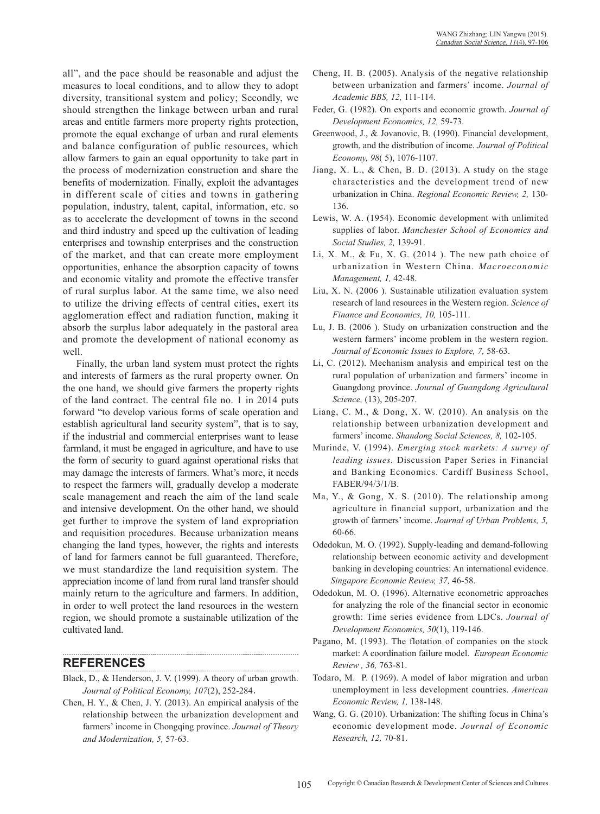all", and the pace should be reasonable and adjust the measures to local conditions, and to allow they to adopt diversity, transitional system and policy; Secondly, we should strengthen the linkage between urban and rural areas and entitle farmers more property rights protection, promote the equal exchange of urban and rural elements and balance configuration of public resources, which allow farmers to gain an equal opportunity to take part in the process of modernization construction and share the benefits of modernization. Finally, exploit the advantages in different scale of cities and towns in gathering population, industry, talent, capital, information, etc. so as to accelerate the development of towns in the second and third industry and speed up the cultivation of leading enterprises and township enterprises and the construction of the market, and that can create more employment opportunities, enhance the absorption capacity of towns and economic vitality and promote the effective transfer of rural surplus labor. At the same time, we also need to utilize the driving effects of central cities, exert its agglomeration effect and radiation function, making it absorb the surplus labor adequately in the pastoral area and promote the development of national economy as well.

Finally, the urban land system must protect the rights and interests of farmers as the rural property owner. On the one hand, we should give farmers the property rights of the land contract. The central file no. 1 in 2014 puts forward "to develop various forms of scale operation and establish agricultural land security system", that is to say, if the industrial and commercial enterprises want to lease farmland, it must be engaged in agriculture, and have to use the form of security to guard against operational risks that may damage the interests of farmers. What's more, it needs to respect the farmers will, gradually develop a moderate scale management and reach the aim of the land scale and intensive development. On the other hand, we should get further to improve the system of land expropriation and requisition procedures. Because urbanization means changing the land types, however, the rights and interests of land for farmers cannot be full guaranteed. Therefore, we must standardize the land requisition system. The appreciation income of land from rural land transfer should mainly return to the agriculture and farmers. In addition, in order to well protect the land resources in the western region, we should promote a sustainable utilization of the cultivated land.

### **REFERENCES**

Black, D., & Henderson, J. V. (1999). A theory of urban growth. *Journal of Political Economy, 107*(2), 252-284.

Chen, H. Y., & Chen, J. Y. (2013). An empirical analysis of the relationship between the urbanization development and farmers' income in Chongqing province. *Journal of Theory and Modernization, 5,* 57-63.

- Cheng, H. B. (2005). Analysis of the negative relationship between urbanization and farmers' income. *Journal of Academic BBS, 12,* 111-114.
- Feder, G. (1982). On exports and economic growth. *Journal of Development Economics, 12,* 59-73.
- Greenwood, J., & Jovanovic, B. (1990). Financial development, growth, and the distribution of income. *Journal of Political Economy, 98*( 5), 1076-1107.
- Jiang, X. L.,  $\&$  Chen, B. D. (2013). A study on the stage characteristics and the development trend of new urbanization in China. *Regional Economic Review, 2,* 130- 136.
- Lewis, W. A. (1954). Economic development with unlimited supplies of labor. *Manchester School of Economics and Social Studies, 2,* 139-91.
- Li, X. M., & Fu, X. G.  $(2014)$ . The new path choice of urbanization in Western China. *Macroeconomic Management, 1,* 42-48.
- Liu, X. N. (2006 ). Sustainable utilization evaluation system research of land resources in the Western region. *Science of Finance and Economics, 10,* 105-111.
- Lu, J. B. (2006 ). Study on urbanization construction and the western farmers' income problem in the western region. *Journal of Economic Issues to Explore, 7,* 58-63.
- Li, C. (2012). Mechanism analysis and empirical test on the rural population of urbanization and farmers' income in Guangdong province. *Journal of Guangdong Agricultural Science,* (13), 205-207.
- Liang, C. M., & Dong, X. W. (2010). An analysis on the relationship between urbanization development and farmers' income. *Shandong Social Sciences, 8,* 102-105.
- Murinde, V. (1994). *Emerging stock markets: A survey of leading issues.* Discussion Paper Series in Financial and Banking Economics. Cardiff Business School, FABER/94/3/1/B.
- Ma, Y., & Gong, X. S. (2010). The relationship among agriculture in financial support, urbanization and the growth of farmers' income. *Journal of Urban Problems, 5,* 60-66.
- Odedokun, M. O. (1992). Supply-leading and demand-following relationship between economic activity and development banking in developing countries: An international evidence.  *Singapore Economic Review, 37,* 46-58.
- Odedokun, M. O. (1996). Alternative econometric approaches for analyzing the role of the financial sector in economic growth: Time series evidence from LDCs. *Journal of Development Economics, 50*(1), 119-146.
- Pagano, M. (1993). The flotation of companies on the stock market: A coordination failure model. *European Economic Review , 36,* 763-81.
- Todaro, M. P. (1969). A model of labor migration and urban unemployment in less development countries. *American Economic Review, 1,* 138-148.
- Wang, G. G. (2010). Urbanization: The shifting focus in China's economic development mode. *Journal of Economic Research, 12,* 70-81.